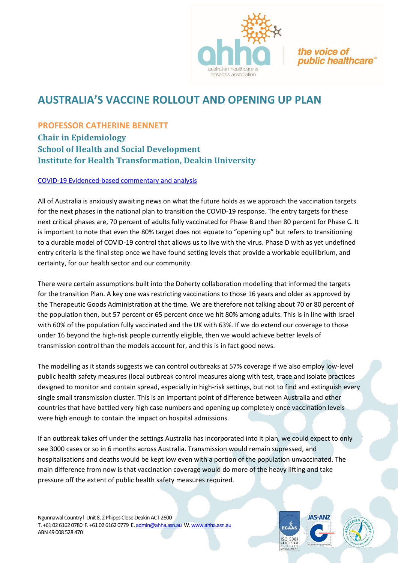

the voice of *public healthcare* 

## **AUSTRALIA'S VACCINE ROLLOUT AND OPENING UP PLAN**

## **PROFESSOR CATHERINE BENNETT**

**Chair in Epidemiology School of Health and Social Development Institute for Health Transformation, Deakin University**

## [COVID-19 Evidenced-based commentary and analysis](https://www.deakin.edu.au/research/Our-research-response-to-COVID-19/catherine-bennett)

All of Australia is anxiously awaiting news on what the future holds as we approach the vaccination targets for the next phases in the national plan to transition the COVID-19 response. The entry targets for these next critical phases are, 70 percent of adults fully vaccinated for Phase B and then 80 percent for Phase C. It is important to note that even the 80% target does not equate to "opening up" but refers to transitioning to a durable model of COVID-19 control that allows us to live with the virus. Phase D with as yet undefined entry criteria is the final step once we have found setting levels that provide a workable equilibrium, and certainty, for our health sector and our community.

There were certain assumptions built into the Doherty collaboration modelling that informed the targets for the transition Plan. A key one was restricting vaccinations to those 16 years and older as approved by the Therapeutic Goods Administration at the time. We are therefore not talking about 70 or 80 percent of the population then, but 57 percent or 65 percent once we hit 80% among adults. This is in line with Israel with 60% of the population fully vaccinated and the UK with 63%. If we do extend our coverage to those under 16 beyond the high-risk people currently eligible, then we would achieve better levels of transmission control than the models account for, and this is in fact good news.

The modelling as it stands suggests we can control outbreaks at 57% coverage if we also employ low-level public health safety measures (local outbreak control measures along with test, trace and isolate practices designed to monitor and contain spread, especially in high-risk settings, but not to find and extinguish every single small transmission cluster. This is an important point of difference between Australia and other countries that have battled very high case numbers and opening up completely once vaccination levels were high enough to contain the impact on hospital admissions.

If an outbreak takes off under the settings Australia has incorporated into it plan, we could expect to only see 3000 cases or so in 6 months across Australia. Transmission would remain supressed, and hospitalisations and deaths would be kept low even with a portion of the population unvaccinated. The main difference from now is that vaccination coverage would do more of the heavy lifting and take pressure off the extent of public health safety measures required.

Ngunnawal Country l Unit 8, 2 Phipps Close Deakin ACT 2600 T. +61 02 6162 0780 F. +61 02 6162 0779 E[. admin@ahha.asn.au](about:blank) W[. www.ahha.asn.au](about:blank) ABN 49 008 528 470



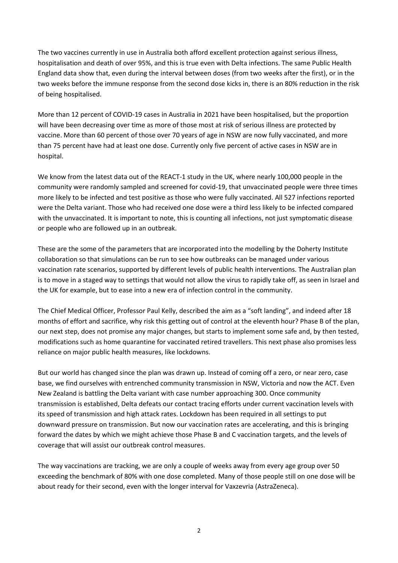The two vaccines currently in use in Australia both afford excellent protection against serious illness, hospitalisation and death of over 95%, and this is true even with Delta infections. The same Public Health England data show that, even during the interval between doses (from two weeks after the first), or in the two weeks before the immune response from the second dose kicks in, there is an 80% reduction in the risk of being hospitalised.

More than 12 percent of COVID-19 cases in Australia in 2021 have been hospitalised, but the proportion will have been decreasing over time as more of those most at risk of serious illness are protected by vaccine. More than 60 percent of those over 70 years of age in NSW are now fully vaccinated, and more than 75 percent have had at least one dose. Currently only five percent of active cases in NSW are in hospital.

We know from the latest data out of the REACT-1 study in the UK, where nearly 100,000 people in the community were randomly sampled and screened for covid-19, that unvaccinated people were three times more likely to be infected and test positive as those who were fully vaccinated. All 527 infections reported were the Delta variant. Those who had received one dose were a third less likely to be infected compared with the unvaccinated. It is important to note, this is counting all infections, not just symptomatic disease or people who are followed up in an outbreak.

These are the some of the parameters that are incorporated into the modelling by the Doherty Institute collaboration so that simulations can be run to see how outbreaks can be managed under various vaccination rate scenarios, supported by different levels of public health interventions. The Australian plan is to move in a staged way to settings that would not allow the virus to rapidly take off, as seen in Israel and the UK for example, but to ease into a new era of infection control in the community.

The Chief Medical Officer, Professor Paul Kelly, described the aim as a "soft landing", and indeed after 18 months of effort and sacrifice, why risk this getting out of control at the eleventh hour? Phase B of the plan, our next step, does not promise any major changes, but starts to implement some safe and, by then tested, modifications such as home quarantine for vaccinated retired travellers. This next phase also promises less reliance on major public health measures, like lockdowns.

But our world has changed since the plan was drawn up. Instead of coming off a zero, or near zero, case base, we find ourselves with entrenched community transmission in NSW, Victoria and now the ACT. Even New Zealand is battling the Delta variant with case number approaching 300. Once community transmission is established, Delta defeats our contact tracing efforts under current vaccination levels with its speed of transmission and high attack rates. Lockdown has been required in all settings to put downward pressure on transmission. But now our vaccination rates are accelerating, and this is bringing forward the dates by which we might achieve those Phase B and C vaccination targets, and the levels of coverage that will assist our outbreak control measures.

The way vaccinations are tracking, we are only a couple of weeks away from every age group over 50 exceeding the benchmark of 80% with one dose completed. Many of those people still on one dose will be about ready for their second, even with the longer interval for Vaxzevria (AstraZeneca).